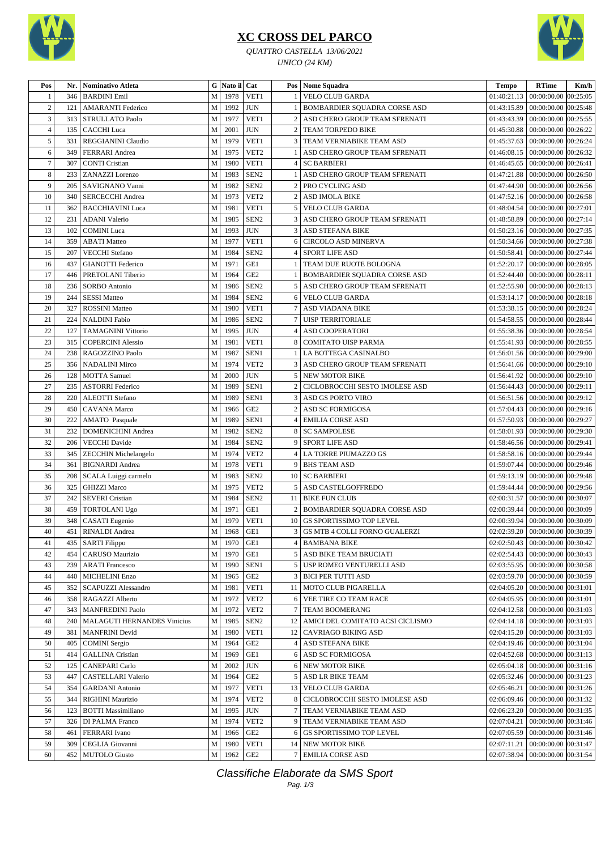

## **XC CROSS DEL PARCO**

*QUATTRO CASTELLA 13/06/2021 UNICO (24 KM)*



| Pos            | Nr. | <b>Nominativo Atleta</b>           |                       | G Nato il Cat |                  |                | Pos   Nome Squadra                    | <b>Tempo</b>                         | <b>RTime</b>                               | Km/h |
|----------------|-----|------------------------------------|-----------------------|---------------|------------------|----------------|---------------------------------------|--------------------------------------|--------------------------------------------|------|
|                | 346 | <b>BARDINI</b> Emil                | M                     | 1978          | VET1             |                | <b>VELO CLUB GARDA</b>                | 01:40:21.13                          | 00:00:00.00 00:25:05                       |      |
| $\overline{2}$ | 121 | <b>AMARANTI Federico</b>           | M                     | 1992          | <b>JUN</b>       |                | BOMBARDIER SQUADRA CORSE ASD          | 01:43:15.89                          | 00:00:00.00 00:25:48                       |      |
| 3              | 313 | <b>STRULLATO Paolo</b>             | M                     | 1977          | VET1             | $\overline{2}$ | ASD CHERO GROUP TEAM SFRENATI         | 01:43:43.39                          | 00:00:00.00 00:25:55                       |      |
| 4              | 135 | <b>CACCHI</b> Luca                 | M                     | 2001          | <b>JUN</b>       | $\overline{2}$ | TEAM TORPEDO BIKE                     | 01:45:30.88                          | 00:00:00.00 00:26:22                       |      |
| 5              | 331 | REGGIANINI Claudio                 | M                     | 1979          | VET1             | 3              | TEAM VERNIABIKE TEAM ASD              | 01:45:37.63                          | 00:00:00.00 00:26:24                       |      |
| 6              | 349 | FERRARI Andrea                     | M                     | 1975          | VET <sub>2</sub> |                | ASD CHERO GROUP TEAM SFRENATI         | $01:46:08.15$ 00:00:00.00 00:26:32   |                                            |      |
| $\overline{7}$ | 307 | <b>CONTI Cristian</b>              | M                     | 1980          | VET1             | 4              | <b>SC BARBIERI</b>                    | 01:46:45.65                          | 00:00:00.00 00:26:41                       |      |
| 8              | 233 | ZANAZZI Lorenzo                    | M                     | 1983          | SEN <sub>2</sub> |                | ASD CHERO GROUP TEAM SFRENATI         | 01:47:21.88                          | 00:00:00.00 00:26:50                       |      |
| 9              | 205 | SAVIGNANO Vanni                    | M                     | 1982          | SEN <sub>2</sub> | $\overline{2}$ | PRO CYCLING ASD                       | 01:47:44.90                          | 00:00:00.00 00:26:56                       |      |
| 10             | 340 | <b>SERCECCHI Andrea</b>            | M                     | 1973          | VET2             | $\overline{2}$ | <b>ASD IMOLA BIKE</b>                 | 01:47:52.16                          | 00:00:00.00 00:26:58                       |      |
| 11             | 362 | <b>BACCHIAVINI Luca</b>            | M                     | 1981          | VET1             | 5              | <b>VELO CLUB GARDA</b>                | 01:48:04.54                          | 00:00:00.00 00:27:01                       |      |
| 12             | 231 | <b>ADANI</b> Valerio               | M                     | 1985          | SEN <sub>2</sub> | 3              | ASD CHERO GROUP TEAM SFRENATI         | 01:48:58.89                          | 00:00:00.00 00:27:14                       |      |
| 13             | 102 | <b>COMINI</b> Luca                 | M                     | 1993          | <b>JUN</b>       | 3              | ASD STEFANA BIKE                      |                                      | 01:50:23.16   00:00:00.00   00:27:35       |      |
| 14             | 359 | <b>ABATI Matteo</b>                | M                     | 1977          | VET1             | 6              | <b>CIRCOLO ASD MINERVA</b>            | 01:50:34.66                          | 00:00:00.00 00:27:38                       |      |
| 15             | 207 | <b>VECCHI</b> Stefano              | M                     | 1984          | SEN <sub>2</sub> | 4              | <b>SPORT LIFE ASD</b>                 | 01:50:58.41                          | 00:00:00.00 00:27:44                       |      |
| 16             | 437 | <b>GIANOTTI Federico</b>           | M                     | 1971          | GE1              |                | TEAM DUE RUOTE BOLOGNA                | 01:52:20.17                          | 00:00:00.00 00:28:05                       |      |
| 17             | 446 | PRETOLANI Tiberio                  | M                     | 1964          | GE <sub>2</sub>  |                | BOMBARDIER SQUADRA CORSE ASD          | 01:52:44.40                          | 00:00:00.00 00:28:11                       |      |
| 18             | 236 | <b>SORBO</b> Antonio               | M                     | 1986          | SEN <sub>2</sub> | 5              | ASD CHERO GROUP TEAM SFRENATI         | 01:52:55.90                          | 00:00:00.00 00:28:13                       |      |
| 19             | 244 | <b>SESSI Matteo</b>                | M                     | 1984          | SEN <sub>2</sub> | 6              | VELO CLUB GARDA                       | 01:53:14.17                          | 00:00:00.00 00:28:18                       |      |
| 20             | 327 | <b>ROSSINI Matteo</b>              | M                     | 1980          | VET1             | 7              | ASD VIADANA BIKE                      | 01:53:38.15                          | 00:00:00.00 00:28:24                       |      |
| 21             | 224 | <b>NALDINI</b> Fabio               | M                     | 1986          | SEN <sub>2</sub> | $\overline{7}$ | <b>UISP TERRITORIALE</b>              | 01:54:58.55                          | 00:00:00.00 00:28:44                       |      |
| 22             | 127 | <b>TAMAGNINI Vittorio</b>          | M                     | 1995          | <b>JUN</b>       | 4              | ASD COOPERATORI                       | 01:55:38.36   00:00:00.00   00:28:54 |                                            |      |
| 23             | 315 | <b>COPERCINI Alessio</b>           | M                     | 1981          | VET1             | 8              | <b>COMITATO UISP PARMA</b>            | 01:55:41.93                          | 00:00:00.00 00:28:55                       |      |
| 24             | 238 |                                    | M                     | 1987          | SEN1             |                | LA BOTTEGA CASINALBO                  |                                      | 01:56:01.56   00:00:00.00   00:29:00       |      |
| 25             |     | RAGOZZINO Paolo                    |                       | 1974          | VET <sub>2</sub> | 3              |                                       |                                      |                                            |      |
|                | 356 | <b>NADALINI Mirco</b>              | M                     |               |                  |                | ASD CHERO GROUP TEAM SFRENATI         | 01:56:41.66   00:00:00.00   00:29:10 |                                            |      |
| 26             | 128 | <b>MOTTA</b> Samuel                | M                     | 2000          | <b>JUN</b>       | 5              | <b>NEW MOTOR BIKE</b>                 | 01:56:41.92                          | 00:00:00.00 00:29:10                       |      |
| 27             | 235 | <b>ASTORRI Federico</b>            | M                     | 1989          | SEN1             | $\overline{2}$ | CICLOBROCCHI SESTO IMOLESE ASD        | 01:56:44.43                          | 00:00:00.00 00:29:11                       |      |
| 28             | 220 | <b>ALEOTTI</b> Stefano             | M                     | 1989          | SEN1             | 3              | ASD GS PORTO VIRO                     | 01:56:51.56 00:00:00.00 00:29:12     |                                            |      |
| 29             | 450 | <b>CAVANA</b> Marco                | M                     | 1966          | GE <sub>2</sub>  | $\overline{2}$ | <b>ASD SC FORMIGOSA</b>               | 01:57:04.43                          | 00:00:00.00 00:29:16                       |      |
| 30             | 222 | AMATO Pasquale                     | M                     | 1989          | SEN1             |                | <b>EMILIA CORSE ASD</b>               | 01:57:50.93                          | 00:00:00.00 00:29:27                       |      |
| 31             | 232 | <b>DOMENICHINI Andrea</b>          | M                     | 1982          | SEN <sub>2</sub> | 8              | <b>SC SAMPOLESE</b>                   | 01:58:01.93                          | 00:00:00.00 00:29:30                       |      |
| 32             | 206 | <b>VECCHI</b> Davide               | M                     | 1984          | SEN <sub>2</sub> | 9              | <b>SPORT LIFE ASD</b>                 | 01:58:46.56                          | 00:00:00.00 00:29:41                       |      |
| 33             | 345 | <b>ZECCHIN Michelangelo</b>        | M                     | 1974          | VET <sub>2</sub> | 4              | <b>LA TORRE PIUMAZZO GS</b>           | 01:58:58.16                          | 00:00:00.00 00:29:44                       |      |
| 34             | 361 | <b>BIGNARDI</b> Andrea             | M                     | 1978          | VET1             | 9              | <b>BHS TEAM ASD</b>                   | 01:59:07.44                          | 00:00:00.00 00:29:46                       |      |
| 35             | 208 | SCALA Luiggi carmelo               | M                     | 1983          | SEN <sub>2</sub> | 10             | <b>SC BARBIERI</b>                    | 01:59:13.19                          | 00:00:00.00 00:29:48                       |      |
| 36             | 325 | <b>GHIZZI Marco</b>                | M                     | 1975          | VET <sub>2</sub> | 5              | ASD CASTELGOFFREDO                    | 01:59:44.44                          | 00:00:00.00 00:29:56                       |      |
| 37             | 242 | <b>SEVERI</b> Cristian             | M                     | 1984          | SEN <sub>2</sub> | 11             | <b>BIKE FUN CLUB</b>                  |                                      | 02:00:31.57   00:00:00.00   00:30:07       |      |
| 38             | 459 | TORTOLANI Ugo                      | M                     | 1971          | GE1              | $\overline{2}$ | <b>BOMBARDIER SQUADRA CORSE ASD</b>   |                                      | 02:00:39.44   00:00:00.00   00:30:09       |      |
| 39             | 348 | <b>CASATI</b> Eugenio              | M                     | 1979          | VET1             | 10             | <b>GS SPORTISSIMO TOP LEVEL</b>       | 02:00:39.94   00:00:00.00   00:30:09 |                                            |      |
| $40\,$         |     | 451 RINALDI Andrea                 | $\overline{\text{M}}$ | 1968 GE1      |                  |                | 3 GS MTB 4 COLLI FORNO GUALERZI       | 02:02:39.20 00:00:00.00 00:30:39     |                                            |      |
| 41             | 435 | <b>SARTI Filippo</b>               | M                     | 1970          | GE1              | 4              | <b>BAMBANA BIKE</b>                   |                                      | 02:02:50.43   00:00:00.00   00:30:42       |      |
| 42             | 454 | CARUSO Maurizio                    | M                     | 1970          | GE1              | 5              | ASD BIKE TEAM BRUCIATI                | 02:02:54.43                          | 00:00:00.00 00:30:43                       |      |
| 43             | 239 | <b>ARATI Francesco</b>             | ${\bf M}$             | 1990          | SEN1             | 5              | USP ROMEO VENTURELLI ASD              |                                      | 02:03:55.95   00:00:00.00   00:30:58       |      |
| 44             | 440 | <b>MICHELINI Enzo</b>              | M                     | 1965          | GE <sub>2</sub>  | 3              | <b>BICI PER TUTTI ASD</b>             |                                      | 02:03:59.70   00:00:00.00   00:30:59       |      |
| 45             | 352 | <b>SCAPUZZI Alessandro</b>         | M                     | 1981          | VET1             |                | 11 MOTO CLUB PIGARELLA                | 02:04:05.20                          | 00:00:00.00 00:31:01                       |      |
| 46             | 358 | RAGAZZI Alberto                    | M                     | 1972          | VET <sub>2</sub> | 6              | VEE TIRE CO TEAM RACE                 | 02:04:05.95                          | 00:00:00.00 00:31:01                       |      |
| 47             | 343 | <b>MANFREDINI Paolo</b>            | ${\bf M}$             | 1972          | VET <sub>2</sub> | $\overline{7}$ | TEAM BOOMERANG                        |                                      | 02:04:12.58   00:00:00.00   00:31:03       |      |
| 48             | 240 | <b>MALAGUTI HERNANDES Vinicius</b> | M                     | 1985          | SEN <sub>2</sub> |                | 12   AMICI DEL COMITATO ACSI CICLISMO |                                      | 02:04:14.18 00:00:00.00 00:31:03           |      |
| 49             | 381 | <b>MANFRINI</b> Devid              | M                     | 1980          | VET1             |                | 12   CAVRIAGO BIKING ASD              | 02:04:15.20                          | 00:00:00.00 00:31:03                       |      |
| 50             | 405 | <b>COMINI</b> Sergio               | ${\bf M}$             | 1964          | GE <sub>2</sub>  | 4              | <b>ASD STEFANA BIKE</b>               |                                      | 02:04:19.46   00:00:00.00   00:31:04       |      |
| 51             | 414 | <b>GALLINA</b> Cristian            | M                     | 1969          | GE1              |                | 6 ASD SC FORMIGOSA                    |                                      | $02:04:52.68$   $00:00:00.00$   $00:31:13$ |      |
| 52             | 125 | <b>CANEPARI</b> Carlo              | M                     | 2002          | <b>JUN</b>       | 6              | NEW MOTOR BIKE                        | 02:05:04.18                          | $00:00:00.00$ $00:31:16$                   |      |
| 53             | 447 | <b>CASTELLARI Valerio</b>          | M                     | 1964          | GE <sub>2</sub>  | 5              | ASD LR BIKE TEAM                      | 02:05:32.46                          | 00:00:00.00 00:31:23                       |      |
| 54             | 354 | <b>GARDANI</b> Antonio             | M                     | 1977          | VET1             | 13             | VELO CLUB GARDA                       | 02:05:46.21                          | 00:00:00.00 00:31:26                       |      |
| 55             | 344 | RIGHINI Maurizio                   | M                     | 1974          | VET <sub>2</sub> | 8              | CICLOBROCCHI SESTO IMOLESE ASD        | 02:06:09.46                          | 00:00:00.00 00:31:32                       |      |
| 56             | 123 | <b>BOTTI Massimiliano</b>          | ${\bf M}$             | 1995          | <b>JUN</b>       |                | TEAM VERNIABIKE TEAM ASD              |                                      | $02:06:23.20$   $00:00:00.00$   $00:31:35$ |      |
| 57             | 326 | DI PALMA Franco                    | M                     | 1974          | VET <sub>2</sub> | 9              | TEAM VERNIABIKE TEAM ASD              |                                      | 02:07:04.21   00:00:00.00   00:31:46       |      |
| 58             | 461 | <b>FERRARI</b> Ivano               | $\mathbf M$           | 1966          | GE <sub>2</sub>  | 6              | GS SPORTISSIMO TOP LEVEL              | 02:07:05.59                          | 00:00:00.00 00:31:46                       |      |
| 59             | 309 | CEGLIA Giovanni                    | $\mathbf M$           | 1980          | VET1             |                | 14 NEW MOTOR BIKE                     | 02:07:11.21                          | 00:00:00.00 00:31:47                       |      |
| 60             | 452 | <b>MUTOLO</b> Giusto               | M                     | 1962          | GE <sub>2</sub>  |                | 7 EMILIA CORSE ASD                    | 02:07:38.94 00:00:00.00 00:31:54     |                                            |      |

Classifiche Elaborate da SMS Sport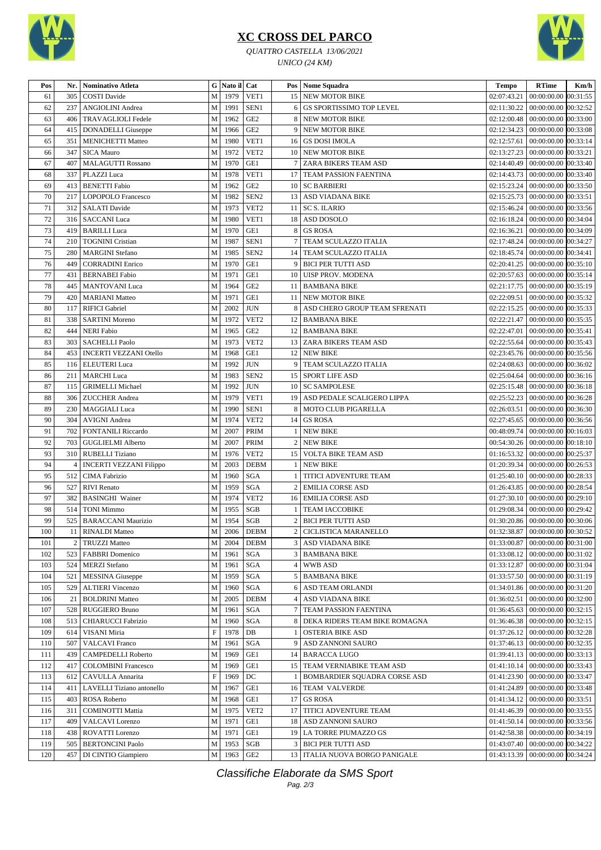

## **XC CROSS DEL PARCO**

*QUATTRO CASTELLA 13/06/2021 UNICO (24 KM)*



| Pos | Nr. | Nominativo Atleta              |              | G Nato il Cat |                      |                 | Pos   Nome Squadra               | <b>Tempo</b> | <b>RTime</b>                           | Km/h |
|-----|-----|--------------------------------|--------------|---------------|----------------------|-----------------|----------------------------------|--------------|----------------------------------------|------|
| 61  | 305 | <b>COSTI</b> Davide            | $\mathbf M$  | 1979          | VET1                 |                 | <b>15 NEW MOTOR BIKE</b>         | 02:07:43.21  | 00:00:00.00 00:31:55                   |      |
| 62  | 237 | <b>ANGIOLINI</b> Andrea        | M            | 1991          | SEN1                 | 6               | GS SPORTISSIMO TOP LEVEL         | 02:11:30.22  | 00:00:00.00 00:32:52                   |      |
| 63  | 406 | <b>TRAVAGLIOLI Fedele</b>      | M            | 1962          | GE <sub>2</sub>      | 8               | <b>NEW MOTOR BIKE</b>            | 02:12:00.48  | 00:00:00.00 00:33:00                   |      |
| 64  | 415 | <b>DONADELLI</b> Giuseppe      | $\mathbf M$  | 1966          | GE <sub>2</sub>      | 9               | <b>NEW MOTOR BIKE</b>            | 02:12:34.23  | 00:00:00.00 00:33:08                   |      |
| 65  | 351 | <b>MENICHETTI Matteo</b>       | $\mathbf M$  | 1980          | VET1                 |                 | 16 GS DOSI IMOLA                 | 02:12:57.61  | 00:00:00.00 00:33:14                   |      |
| 66  | 347 | <b>SICA Mauro</b>              | $\mathbf M$  | 1972          | VET <sub>2</sub>     | 10 <sup>1</sup> | <b>NEW MOTOR BIKE</b>            | 02:13:27.23  | 00:00:00.00 00:33:21                   |      |
| 67  | 407 | <b>MALAGUTTI Rossano</b>       | M            | 1970          | GE1                  | 7 <sup>1</sup>  | ZARA BIKERS TEAM ASD             | 02:14:40.49  | 00:00:00.00 00:33:40                   |      |
| 68  | 337 | PLAZZI Luca                    | M            | 1978          | VET1                 | 17              | TEAM PASSION FAENTINA            | 02:14:43.73  | 00:00:00.00 00:33:40                   |      |
| 69  | 413 | <b>BENETTI</b> Fabio           | $\mathbf M$  | 1962          | GE <sub>2</sub>      |                 | 10 SC BARBIERI                   | 02:15:23.24  | 00:00:00.00 00:33:50                   |      |
| 70  | 217 | LOPOPOLO Francesco             | $\mathbf M$  | 1982          | SEN <sub>2</sub>     |                 | 13 ASD VIADANA BIKE              | 02:15:25.73  | 00:00:00.00 00:33:51                   |      |
| 71  | 312 | <b>SALATI</b> Davide           | M            | 1973          | VET <sub>2</sub>     | 11 <sup>1</sup> | <b>SC S. ILARIO</b>              | 02:15:46.24  | 00:00:00.00 00:33:56                   |      |
| 72  | 316 | <b>SACCANI</b> Luca            | $\mathbf{M}$ | 1980          | VET1                 |                 | 18 ASD DOSOLO                    | 02:16:18.24  | 00:00:00.00 00:34:04                   |      |
| 73  | 419 | <b>BARILLI</b> Luca            | M            | 1970          | GE1                  | 8               | <b>GS ROSA</b>                   | 02:16:36.21  | 00:00:00.00 00:34:09                   |      |
| 74  | 210 | <b>TOGNINI Cristian</b>        | ${\bf M}$    | 1987          | SEN1                 | 7               | TEAM SCULAZZO ITALIA             | 02:17:48.24  | 00:00:00.00 00:34:27                   |      |
| 75  | 280 | <b>MARGINI</b> Stefano         | M            | 1985          | SEN <sub>2</sub>     | 14              | TEAM SCULAZZO ITALIA             | 02:18:45.74  | 00:00:00.00 00:34:41                   |      |
| 76  | 449 | <b>CORRADINI Enrico</b>        | M            | 1970          | GE1                  | 9               | <b>BICI PER TUTTI ASD</b>        | 02:20:41.25  | 00:00:00.00 00:35:10                   |      |
| 77  | 431 | <b>BERNABEI</b> Fabio          | M            | 1971          | GE1                  | 10 <sup>1</sup> | <b>UISP PROV. MODENA</b>         | 02:20:57.63  | 00:00:00.00 00:35:14                   |      |
| 78  | 445 | <b>MANTOVANI</b> Luca          | M            | 1964          | GE <sub>2</sub>      | 11 I            | <b>BAMBANA BIKE</b>              | 02:21:17.75  | 00:00:00.00 00:35:19                   |      |
| 79  | 420 | <b>MARIANI</b> Matteo          | M            | 1971          | GE1                  | 11 <sup>1</sup> | <b>NEW MOTOR BIKE</b>            | 02:22:09.51  | 00:00:00.00 00:35:32                   |      |
| 80  | 117 | <b>RIFICI Gabriel</b>          | M            | 2002          | <b>JUN</b>           | 8               | ASD CHERO GROUP TEAM SFRENATI    | 02:22:15.25  | 00:00:00.00 00:35:33                   |      |
| 81  | 338 | <b>SARTINI</b> Moreno          | M            | 1972          | VET <sub>2</sub>     |                 | 12   BAMBANA BIKE                | 02:22:21.47  | 00:00:00.00 00:35:35                   |      |
| 82  | 444 | <b>NERI Fabio</b>              | $\mathbf M$  | 1965          | GE <sub>2</sub>      |                 | 12 BAMBANA BIKE                  | 02:22:47.01  | 00:00:00.00 00:35:41                   |      |
| 83  | 303 | <b>SACHELLI Paolo</b>          | ${\bf M}$    | 1973          | VET2                 |                 | 13 ZARA BIKERS TEAM ASD          | 02:22:55.64  | 00:00:00.00 00:35:43                   |      |
| 84  | 453 | <b>INCERTI VEZZANI Otello</b>  | M            | 1968          | GE1                  |                 | 12 NEW BIKE                      | 02:23:45.76  | 00:00:00.00 00:35:56                   |      |
| 85  | 116 | <b>ELEUTERI</b> Luca           | M            | 1992          | <b>JUN</b>           | 9               | TEAM SCULAZZO ITALIA             | 02:24:08.63  | 00:00:00.00 00:36:02                   |      |
| 86  | 211 | <b>MARCHI</b> Luca             | M            | 1983          | SEN <sub>2</sub>     |                 | 15   SPORT LIFE ASD              |              | 02:25:04.64   00:00:00.00   00:36:16   |      |
| 87  | 115 | <b>GRIMELLI Michael</b>        | M            | 1992          | <b>JUN</b>           |                 | 10   SC SAMPOLESE                | 02:25:15.48  | 00:00:00.00 00:36:18                   |      |
| 88  | 306 | <b>ZUCCHER</b> Andrea          | ${\bf M}$    | 1979          | VET1                 |                 | 19 ASD PEDALE SCALIGERO LIPPA    | 02:25:52.23  | 00:00:00.00 00:36:28                   |      |
| 89  | 230 | <b>MAGGIALI</b> Luca           | $\mathbf M$  | 1990          | SEN1                 | 8               | MOTO CLUB PIGARELLA              | 02:26:03.51  | 00:00:00.00 00:36:30                   |      |
| 90  | 304 | <b>AVIGNI</b> Andrea           | M            | 1974          | VET <sub>2</sub>     | 14 <sup>1</sup> | <b>GS ROSA</b>                   | 02:27:45.65  | 00:00:00.00 00:36:56                   |      |
| 91  | 702 | <b>FONTANILI Riccardo</b>      | M            | 2007          | <b>PRIM</b>          |                 | <b>NEW BIKE</b>                  | 00:48:09.74  | 00:00:00.00 00:16:03                   |      |
| 92  | 703 | <b>GUGLIELMI Alberto</b>       | M            | 2007          | PRIM                 | 2               | <b>NEW BIKE</b>                  | 00:54:30.26  | 00:00:00.00   00:18:10                 |      |
| 93  | 310 | <b>RUBELLI</b> Tiziano         | M            | 1976          | VET <sub>2</sub>     | 15 <sup>1</sup> | <b>VOLTA BIKE TEAM ASD</b>       | 01:16:53.32  | 00:00:00.00 00:25:37                   |      |
| 94  | 4   | <b>INCERTI VEZZANI Filippo</b> | M            | 2003          | <b>DEBM</b>          | -1              | <b>NEW BIKE</b>                  | 01:20:39.34  | 00:00:00.00 00:26:53                   |      |
| 95  | 512 | CIMA Fabrizio                  | ${\bf M}$    | 1960          | <b>SGA</b>           |                 | TITICI ADVENTURE TEAM            | 01:25:40.10  | 00:00:00.00 00:28:33                   |      |
| 96  | 527 | RIVI Renato                    | $\mathbf M$  | 1959          | SGA                  | $\overline{2}$  | <b>EMILIA CORSE ASD</b>          | 01:26:43.85  | 00:00:00.00 00:28:54                   |      |
| 97  | 382 | <b>BASINGHI Wainer</b>         | M            | 1974          | VET <sub>2</sub>     |                 | 16   EMILIA CORSE ASD            | 01:27:30.10  | $00:00:00.00$ $00:29:10$               |      |
| 98  | 514 | <b>TONI Mimmo</b>              | ${\bf M}$    | 1955          | SGB                  |                 | <b>TEAM IACCOBIKE</b>            |              | 01:29:08.34   00:00:00.00   00:29:42   |      |
| 99  | 525 | <b>BARACCANI Maurizio</b>      | M            | 1954          | <b>SGB</b>           |                 | 2 BICI PER TUTTI ASD             |              | 01:30:20.86 00:00:00.00 00:30:06       |      |
| 100 |     | 11 RINALDI Matteo              |              |               | M 2006 DEBM          |                 | 2 CICLISTICA MARANELLO           |              | 01:32:38.87 00:00:00.00 00:30:52       |      |
| 101 | 2   | <b>TRUZZI Matteo</b>           | M            | 2004          | <b>DEBM</b>          |                 | 3 ASD VIADANA BIKE               |              | $01:33:00.87$ 00:00:00.00 00:31:00     |      |
| 102 | 523 | <b>FABBRI</b> Domenico         | M            | 1961          | SGA                  | $\frac{3}{ }$   | <b>BAMBANA BIKE</b>              | 01:33:08.12  | $00:00:00.00$ $00:31:02$               |      |
| 103 | 524 | <b>MERZI</b> Stefano           | M            | 1961          | SGA                  | 4               | WWB ASD                          | 01:33:12.87  | 00:00:00.00 00:31:04                   |      |
| 104 | 521 | <b>MESSINA</b> Giuseppe        | $\mathbf M$  | 1959          | SGA                  |                 | 5   BAMBANA BIKE                 |              | 01:33:57.50   00:00:00.00   00:31:19   |      |
| 105 | 529 | <b>ALTIERI</b> Vincenzo        | M            | 1960          | SGA                  | 6               | ASD TEAM ORLANDI                 |              | 01:34:01.86   00:00:00.00   00:31:20   |      |
| 106 | 21  | <b>BOLDRINI Matteo</b>         | ${\bf M}$    | 2005          | <b>DEBM</b>          | 4               | <b>ASD VIADANA BIKE</b>          |              | $01:36:02.51$ 00:00:00.00 00:32:00     |      |
| 107 | 528 | <b>RUGGIERO Bruno</b>          | $\mathbf M$  | 1961          | SGA                  |                 | 7 TEAM PASSION FAENTINA          | 01:36:45.63  | 00:00:00.00 00:32:15                   |      |
| 108 | 513 | <b>CHIARUCCI Fabrizio</b>      | M            | 1960          | SGA                  | 8               | DEKA RIDERS TEAM BIKE ROMAGNA    | 01:36:46.38  | 00:00:00.00 00:32:15                   |      |
| 109 | 614 | VISANI Miria                   | $\mathbf F$  | 1978          | DB                   |                 | <b>OSTERIA BIKE ASD</b>          | 01:37:26.12  | 00:00:00.00 00:32:28                   |      |
| 110 | 507 | <b>VALCAVI Franco</b>          | M            | 1961          | SGA                  |                 | ASD ZANNONI SAURO                | 01:37:46.13  | 00:00:00.00 00:32:35                   |      |
| 111 | 439 | CAMPEDELLI Roberto             | M            | 1969          | $\operatorname{GE1}$ |                 | 14   BARACCA LUGO                |              | 01:39:41.13   00:00:00.00   00:33:13   |      |
| 112 | 417 | <b>COLOMBINI Francesco</b>     | M            | 1969          | GE1                  |                 | 15   TEAM VERNIABIKE TEAM ASD    |              | $01:41:10.14$   00:00:00.00   00:33:43 |      |
| 113 | 612 | CAVULLA Annarita               | $\mathbf F$  | 1969          | DC                   |                 | BOMBARDIER SQUADRA CORSE ASD     |              | 01:41:23.90   00:00:00.00   00:33:47   |      |
| 114 | 411 | LAVELLI Tiziano antonello      | M            | 1967          | GE1                  | 16              | TEAM VALVERDE                    | 01:41:24.89  | 00:00:00.00 00:33:48                   |      |
| 115 | 403 | ROSA Roberto                   | $\mathbf M$  | 1968          | GE1                  | 17 <sup>1</sup> | <b>GS ROSA</b>                   | 01:41:34.12  | 00:00:00.00 00:33:51                   |      |
| 116 | 311 | <b>COMINOTTI Mattia</b>        | M            | 1975          | VET <sub>2</sub>     | 17              | TITICI ADVENTURE TEAM            | 01:41:46.39  | 00:00:00.00 00:33:55                   |      |
| 117 | 409 | VALCAVI Lorenzo                | $\mathbf M$  | 1971          | GE1                  |                 | 18 ASD ZANNONI SAURO             |              | 01:41:50.14   00:00:00.00   00:33:56   |      |
| 118 | 438 | <b>ROVATTI</b> Lorenzo         | M            | 1971          | GE1                  |                 | 19   LA TORRE PIUMAZZO GS        |              | 01:42:58.38   00:00:00.00   00:34:19   |      |
| 119 | 505 | <b>BERTONCINI Paolo</b>        | M            | 1953          | SGB                  |                 | <b>3 BICI PER TUTTI ASD</b>      |              | 01:43:07.40 00:00:00.00 00:34:22       |      |
| 120 |     | 457   DI CINTIO Giampiero      |              | M 1963        | GE <sub>2</sub>      |                 | 13   ITALIA NUOVA BORGO PANIGALE |              | $01:43:13.39$ 00:00:00.00 00:34:24     |      |

Classifiche Elaborate da SMS Sport